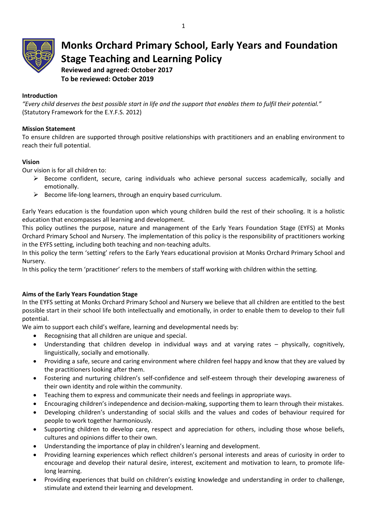

**Monks Orchard Primary School, Early Years and Foundation Stage Teaching and Learning Policy**

**Reviewed and agreed: October 2017 To be reviewed: October 2019**

# **Introduction**

*"Every child deserves the best possible start in life and the support that enables them to fulfil their potential."* (Statutory Framework for the E.Y.F.S. 2012)

## **Mission Statement**

To ensure children are supported through positive relationships with practitioners and an enabling environment to reach their full potential.

## **Vision**

Our vision is for all children to:

- $\triangleright$  Become confident, secure, caring individuals who achieve personal success academically, socially and emotionally.
- $\triangleright$  Become life-long learners, through an enquiry based curriculum.

Early Years education is the foundation upon which young children build the rest of their schooling. It is a holistic education that encompasses all learning and development.

This policy outlines the purpose, nature and management of the Early Years Foundation Stage (EYFS) at Monks Orchard Primary School and Nursery. The implementation of this policy is the responsibility of practitioners working in the EYFS setting, including both teaching and non-teaching adults.

In this policy the term 'setting' refers to the Early Years educational provision at Monks Orchard Primary School and Nursery.

In this policy the term 'practitioner' refers to the members of staff working with children within the setting.

## **Aims of the Early Years Foundation Stage**

In the EYFS setting at Monks Orchard Primary School and Nursery we believe that all children are entitled to the best possible start in their school life both intellectually and emotionally, in order to enable them to develop to their full potential.

We aim to support each child's welfare, learning and developmental needs by:

- Recognising that all children are unique and special.
- Understanding that children develop in individual ways and at varying rates physically, cognitively, linguistically, socially and emotionally.
- Providing a safe, secure and caring environment where children feel happy and know that they are valued by the practitioners looking after them.
- Fostering and nurturing children's self-confidence and self-esteem through their developing awareness of their own identity and role within the community.
- Teaching them to express and communicate their needs and feelings in appropriate ways.
- Encouraging children's independence and decision-making, supporting them to learn through their mistakes.
- Developing children's understanding of social skills and the values and codes of behaviour required for people to work together harmoniously.
- Supporting children to develop care, respect and appreciation for others, including those whose beliefs, cultures and opinions differ to their own.
- Understanding the importance of play in children's learning and development.
- Providing learning experiences which reflect children's personal interests and areas of curiosity in order to encourage and develop their natural desire, interest, excitement and motivation to learn, to promote lifelong learning.
- Providing experiences that build on children's existing knowledge and understanding in order to challenge, stimulate and extend their learning and development.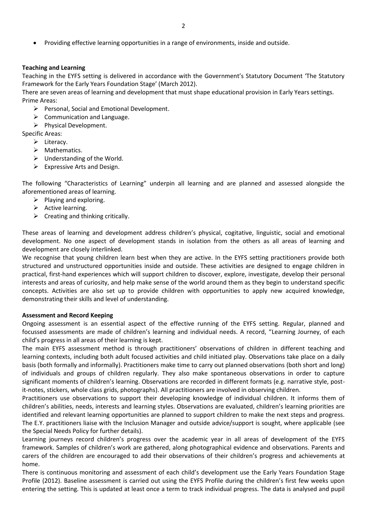Providing effective learning opportunities in a range of environments, inside and outside.

#### **Teaching and Learning**

Teaching in the EYFS setting is delivered in accordance with the Government's Statutory Document 'The Statutory Framework for the Early Years Foundation Stage' (March 2012).

There are seven areas of learning and development that must shape educational provision in Early Years settings. Prime Areas:

- $\triangleright$  Personal, Social and Emotional Development.
- $\triangleright$  Communication and Language.
- $\triangleright$  Physical Development.

Specific Areas:

- $\triangleright$  Literacy.
- $\triangleright$  Mathematics.
- $\triangleright$  Understanding of the World.
- $\triangleright$  Expressive Arts and Design.

The following "Characteristics of Learning" underpin all learning and are planned and assessed alongside the aforementioned areas of learning.

- $\triangleright$  Playing and exploring.
- $\triangleright$  Active learning.
- $\triangleright$  Creating and thinking critically.

These areas of learning and development address children's physical, cogitative, linguistic, social and emotional development. No one aspect of development stands in isolation from the others as all areas of learning and development are closely interlinked.

We recognise that young children learn best when they are active. In the EYFS setting practitioners provide both structured and unstructured opportunities inside and outside. These activities are designed to engage children in practical, first-hand experiences which will support children to discover, explore, investigate, develop their personal interests and areas of curiosity, and help make sense of the world around them as they begin to understand specific concepts. Activities are also set up to provide children with opportunities to apply new acquired knowledge, demonstrating their skills and level of understanding.

#### **Assessment and Record Keeping**

Ongoing assessment is an essential aspect of the effective running of the EYFS setting. Regular, planned and focussed assessments are made of children's learning and individual needs. A record, "Learning Journey, of each child's progress in all areas of their learning is kept.

The main EYFS assessment method is through practitioners' observations of children in different teaching and learning contexts, including both adult focused activities and child initiated play. Observations take place on a daily basis (both formally and informally). Practitioners make time to carry out planned observations (both short and long) of individuals and groups of children regularly. They also make spontaneous observations in order to capture significant moments of children's learning. Observations are recorded in different formats (e.g. narrative style, postit-notes, stickers, whole class grids, photographs). All practitioners are involved in observing children.

Practitioners use observations to support their developing knowledge of individual children. It informs them of children's abilities, needs, interests and learning styles. Observations are evaluated, children's learning priorities are identified and relevant learning opportunities are planned to support children to make the next steps and progress. The E.Y. practitioners liaise with the Inclusion Manager and outside advice/support is sought, where applicable (see the Special Needs Policy for further details).

Learning journeys record children's progress over the academic year in all areas of development of the EYFS framework. Samples of children's work are gathered, along photographical evidence and observations. Parents and carers of the children are encouraged to add their observations of their children's progress and achievements at home.

There is continuous monitoring and assessment of each child's development use the Early Years Foundation Stage Profile (2012). Baseline assessment is carried out using the EYFS Profile during the children's first few weeks upon entering the setting. This is updated at least once a term to track individual progress. The data is analysed and pupil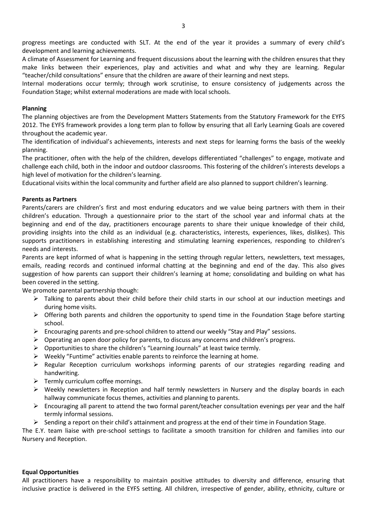progress meetings are conducted with SLT. At the end of the year it provides a summary of every child's development and learning achievements.

A climate of Assessment for Learning and frequent discussions about the learning with the children ensures that they make links between their experiences, play and activities and what and why they are learning. Regular "teacher/child consultations" ensure that the children are aware of their learning and next steps.

Internal moderations occur termly; through work scrutinise, to ensure consistency of judgements across the Foundation Stage; whilst external moderations are made with local schools.

### **Planning**

The planning objectives are from the Development Matters Statements from the Statutory Framework for the EYFS 2012. The EYFS framework provides a long term plan to follow by ensuring that all Early Learning Goals are covered throughout the academic year.

The identification of individual's achievements, interests and next steps for learning forms the basis of the weekly planning.

The practitioner, often with the help of the children, develops differentiated "challenges" to engage, motivate and challenge each child, both in the indoor and outdoor classrooms. This fostering of the children's interests develops a high level of motivation for the children's learning.

Educational visits within the local community and further afield are also planned to support children's learning.

### **Parents as Partners**

Parents/carers are children's first and most enduring educators and we value being partners with them in their children's education. Through a questionnaire prior to the start of the school year and informal chats at the beginning and end of the day, practitioners encourage parents to share their unique knowledge of their child, providing insights into the child as an individual (e.g. characteristics, interests, experiences, likes, dislikes). This supports practitioners in establishing interesting and stimulating learning experiences, responding to children's needs and interests.

Parents are kept informed of what is happening in the setting through regular letters, newsletters, text messages, emails, reading records and continued informal chatting at the beginning and end of the day. This also gives suggestion of how parents can support their children's learning at home; consolidating and building on what has been covered in the setting.

We promote parental partnership though:

- $\triangleright$  Talking to parents about their child before their child starts in our school at our induction meetings and during home visits.
- $\triangleright$  Offering both parents and children the opportunity to spend time in the Foundation Stage before starting school.
- $\triangleright$  Encouraging parents and pre-school children to attend our weekly "Stay and Play" sessions.
- $\triangleright$  Operating an open door policy for parents, to discuss any concerns and children's progress.
- $\triangleright$  Opportunities to share the children's "Learning Journals" at least twice termly.
- $\triangleright$  Weekly "Funtime" activities enable parents to reinforce the learning at home.
- Regular Reception curriculum workshops informing parents of our strategies regarding reading and handwriting.
- $\triangleright$  Termly curriculum coffee mornings.
- Weekly newsletters in Reception and half termly newsletters in Nursery and the display boards in each hallway communicate focus themes, activities and planning to parents.
- $\triangleright$  Encouraging all parent to attend the two formal parent/teacher consultation evenings per year and the half termly informal sessions.
- $\triangleright$  Sending a report on their child's attainment and progress at the end of their time in Foundation Stage.

The E.Y. team liaise with pre-school settings to facilitate a smooth transition for children and families into our Nursery and Reception.

### **Equal Opportunities**

All practitioners have a responsibility to maintain positive attitudes to diversity and difference, ensuring that inclusive practice is delivered in the EYFS setting. All children, irrespective of gender, ability, ethnicity, culture or